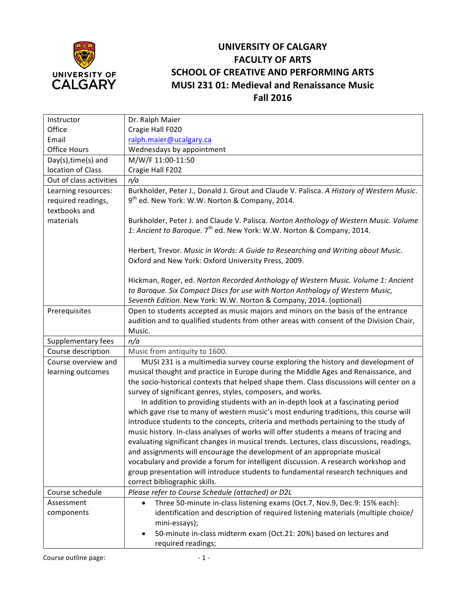

## **UNIVERSITY OF CALGARY FACULTY OF ARTS SCHOOL OF CREATIVE AND PERFORMING ARTS MUSI 231 01: Medieval and Renaissance Music Fall 2016**

| Instructor                                | Dr. Ralph Maier                                                                                                                                                            |  |  |  |  |
|-------------------------------------------|----------------------------------------------------------------------------------------------------------------------------------------------------------------------------|--|--|--|--|
| Office                                    | Cragie Hall F020                                                                                                                                                           |  |  |  |  |
| Email                                     | ralph.maier@ucalgary.ca                                                                                                                                                    |  |  |  |  |
| <b>Office Hours</b>                       | Wednesdays by appointment                                                                                                                                                  |  |  |  |  |
| Day(s), time(s) and                       | M/W/F 11:00-11:50                                                                                                                                                          |  |  |  |  |
| location of Class                         | Cragie Hall F202                                                                                                                                                           |  |  |  |  |
| Out of class activities                   | n/a                                                                                                                                                                        |  |  |  |  |
| Learning resources:<br>required readings, | Burkholder, Peter J., Donald J. Grout and Claude V. Palisca. A History of Western Music.<br>9 <sup>th</sup> ed. New York: W.W. Norton & Company, 2014.                     |  |  |  |  |
| textbooks and                             |                                                                                                                                                                            |  |  |  |  |
| materials                                 | Burkholder, Peter J. and Claude V. Palisca. Norton Anthology of Western Music. Volume<br>1: Ancient to Baroque. 7 <sup>th</sup> ed. New York: W.W. Norton & Company, 2014. |  |  |  |  |
|                                           |                                                                                                                                                                            |  |  |  |  |
|                                           | Herbert, Trevor. Music in Words: A Guide to Researching and Writing about Music.<br>Oxford and New York: Oxford University Press, 2009.                                    |  |  |  |  |
|                                           |                                                                                                                                                                            |  |  |  |  |
|                                           | Hickman, Roger, ed. Norton Recorded Anthology of Western Music. Volume 1: Ancient                                                                                          |  |  |  |  |
|                                           | to Baroque. Six Compact Discs for use with Norton Anthology of Western Music,                                                                                              |  |  |  |  |
|                                           | Seventh Edition. New York: W.W. Norton & Company, 2014. (optional)                                                                                                         |  |  |  |  |
| Prerequisites                             | Open to students accepted as music majors and minors on the basis of the entrance                                                                                          |  |  |  |  |
|                                           | audition and to qualified students from other areas with consent of the Division Chair,                                                                                    |  |  |  |  |
|                                           | Music.                                                                                                                                                                     |  |  |  |  |
| Supplementary fees                        | n/a                                                                                                                                                                        |  |  |  |  |
| Course description                        | Music from antiquity to 1600.                                                                                                                                              |  |  |  |  |
| Course overview and                       | MUSI 231 is a multimedia survey course exploring the history and development of                                                                                            |  |  |  |  |
| learning outcomes                         | musical thought and practice in Europe during the Middle Ages and Renaissance, and                                                                                         |  |  |  |  |
|                                           | the socio-historical contexts that helped shape them. Class discussions will center on a                                                                                   |  |  |  |  |
|                                           | survey of significant genres, styles, composers, and works.                                                                                                                |  |  |  |  |
|                                           | In addition to providing students with an in-depth look at a fascinating period                                                                                            |  |  |  |  |
|                                           | which gave rise to many of western music's most enduring traditions, this course will                                                                                      |  |  |  |  |
|                                           | introduce students to the concepts, criteria and methods pertaining to the study of                                                                                        |  |  |  |  |
|                                           | music history. In-class analyses of works will offer students a means of tracing and                                                                                       |  |  |  |  |
|                                           | evaluating significant changes in musical trends. Lectures, class discussions, readings,                                                                                   |  |  |  |  |
|                                           | and assignments will encourage the development of an appropriate musical                                                                                                   |  |  |  |  |
|                                           | vocabulary and provide a forum for intelligent discussion. A research workshop and                                                                                         |  |  |  |  |
|                                           | group presentation will introduce students to fundamental research techniques and                                                                                          |  |  |  |  |
|                                           | correct bibliographic skills.                                                                                                                                              |  |  |  |  |
| Course schedule                           | Please refer to Course Schedule (attached) or D2L                                                                                                                          |  |  |  |  |
| Assessment                                | Three 50-minute in-class listening exams (Oct.7, Nov.9, Dec.9: 15% each):<br>$\bullet$                                                                                     |  |  |  |  |
| components                                | identification and description of required listening materials (multiple choice/                                                                                           |  |  |  |  |
|                                           | mini-essays);                                                                                                                                                              |  |  |  |  |
|                                           | 50-minute in-class midterm exam (Oct.21: 20%) based on lectures and                                                                                                        |  |  |  |  |
|                                           | required readings;                                                                                                                                                         |  |  |  |  |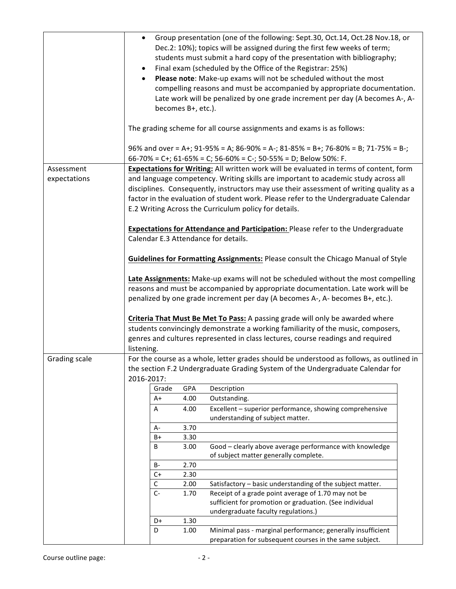|                            |                                                                                                                                                                                                                                                                                                                                                                                                                          | becomes B+, etc.). | Group presentation (one of the following: Sept.30, Oct.14, Oct.28 Nov.18, or<br>Dec.2: 10%); topics will be assigned during the first few weeks of term;<br>students must submit a hard copy of the presentation with bibliography;<br>Final exam (scheduled by the Office of the Registrar: 25%)<br>Please note: Make-up exams will not be scheduled without the most<br>compelling reasons and must be accompanied by appropriate documentation.<br>Late work will be penalized by one grade increment per day (A becomes A-, A- |  |  |  |  |
|----------------------------|--------------------------------------------------------------------------------------------------------------------------------------------------------------------------------------------------------------------------------------------------------------------------------------------------------------------------------------------------------------------------------------------------------------------------|--------------------|------------------------------------------------------------------------------------------------------------------------------------------------------------------------------------------------------------------------------------------------------------------------------------------------------------------------------------------------------------------------------------------------------------------------------------------------------------------------------------------------------------------------------------|--|--|--|--|
|                            |                                                                                                                                                                                                                                                                                                                                                                                                                          |                    | The grading scheme for all course assignments and exams is as follows:                                                                                                                                                                                                                                                                                                                                                                                                                                                             |  |  |  |  |
|                            |                                                                                                                                                                                                                                                                                                                                                                                                                          |                    | 96% and over = A+; 91-95% = A; 86-90% = A-; 81-85% = B+; 76-80% = B; 71-75% = B-;<br>66-70% = C+; 61-65% = C; 56-60% = C-; 50-55% = D; Below 50%: F.                                                                                                                                                                                                                                                                                                                                                                               |  |  |  |  |
| Assessment<br>expectations | Expectations for Writing: All written work will be evaluated in terms of content, form<br>and language competency. Writing skills are important to academic study across all<br>disciplines. Consequently, instructors may use their assessment of writing quality as a<br>factor in the evaluation of student work. Please refer to the Undergraduate Calendar<br>E.2 Writing Across the Curriculum policy for details. |                    |                                                                                                                                                                                                                                                                                                                                                                                                                                                                                                                                    |  |  |  |  |
|                            | Calendar E.3 Attendance for details.                                                                                                                                                                                                                                                                                                                                                                                     |                    | Expectations for Attendance and Participation: Please refer to the Undergraduate                                                                                                                                                                                                                                                                                                                                                                                                                                                   |  |  |  |  |
|                            |                                                                                                                                                                                                                                                                                                                                                                                                                          |                    | Guidelines for Formatting Assignments: Please consult the Chicago Manual of Style                                                                                                                                                                                                                                                                                                                                                                                                                                                  |  |  |  |  |
|                            | Late Assignments: Make-up exams will not be scheduled without the most compelling<br>reasons and must be accompanied by appropriate documentation. Late work will be<br>penalized by one grade increment per day (A becomes A-, A- becomes B+, etc.).<br>Criteria That Must Be Met To Pass: A passing grade will only be awarded where                                                                                   |                    |                                                                                                                                                                                                                                                                                                                                                                                                                                                                                                                                    |  |  |  |  |
|                            | listening.                                                                                                                                                                                                                                                                                                                                                                                                               |                    | students convincingly demonstrate a working familiarity of the music, composers,<br>genres and cultures represented in class lectures, course readings and required                                                                                                                                                                                                                                                                                                                                                                |  |  |  |  |
| Grading scale              |                                                                                                                                                                                                                                                                                                                                                                                                                          |                    | For the course as a whole, letter grades should be understood as follows, as outlined in                                                                                                                                                                                                                                                                                                                                                                                                                                           |  |  |  |  |
|                            | 2016-2017:                                                                                                                                                                                                                                                                                                                                                                                                               |                    | the section F.2 Undergraduate Grading System of the Undergraduate Calendar for                                                                                                                                                                                                                                                                                                                                                                                                                                                     |  |  |  |  |
|                            | Grade                                                                                                                                                                                                                                                                                                                                                                                                                    | GPA                | Description                                                                                                                                                                                                                                                                                                                                                                                                                                                                                                                        |  |  |  |  |
|                            | A+                                                                                                                                                                                                                                                                                                                                                                                                                       | 4.00               | Outstanding.                                                                                                                                                                                                                                                                                                                                                                                                                                                                                                                       |  |  |  |  |
|                            | Α                                                                                                                                                                                                                                                                                                                                                                                                                        | 4.00               | Excellent - superior performance, showing comprehensive<br>understanding of subject matter.                                                                                                                                                                                                                                                                                                                                                                                                                                        |  |  |  |  |
|                            | А-                                                                                                                                                                                                                                                                                                                                                                                                                       | 3.70               |                                                                                                                                                                                                                                                                                                                                                                                                                                                                                                                                    |  |  |  |  |
|                            | B+                                                                                                                                                                                                                                                                                                                                                                                                                       | 3.30               |                                                                                                                                                                                                                                                                                                                                                                                                                                                                                                                                    |  |  |  |  |
|                            | В                                                                                                                                                                                                                                                                                                                                                                                                                        | 3.00               | Good - clearly above average performance with knowledge<br>of subject matter generally complete.                                                                                                                                                                                                                                                                                                                                                                                                                                   |  |  |  |  |
|                            | B-                                                                                                                                                                                                                                                                                                                                                                                                                       | 2.70               |                                                                                                                                                                                                                                                                                                                                                                                                                                                                                                                                    |  |  |  |  |
|                            | $C+$                                                                                                                                                                                                                                                                                                                                                                                                                     | 2.30               |                                                                                                                                                                                                                                                                                                                                                                                                                                                                                                                                    |  |  |  |  |
|                            | $\mathsf C$                                                                                                                                                                                                                                                                                                                                                                                                              | 2.00               | Satisfactory - basic understanding of the subject matter.                                                                                                                                                                                                                                                                                                                                                                                                                                                                          |  |  |  |  |
|                            | $C-$                                                                                                                                                                                                                                                                                                                                                                                                                     | 1.70               | Receipt of a grade point average of 1.70 may not be<br>sufficient for promotion or graduation. (See individual                                                                                                                                                                                                                                                                                                                                                                                                                     |  |  |  |  |
|                            |                                                                                                                                                                                                                                                                                                                                                                                                                          |                    | undergraduate faculty regulations.)                                                                                                                                                                                                                                                                                                                                                                                                                                                                                                |  |  |  |  |
|                            | D+                                                                                                                                                                                                                                                                                                                                                                                                                       | 1.30               |                                                                                                                                                                                                                                                                                                                                                                                                                                                                                                                                    |  |  |  |  |
|                            | D                                                                                                                                                                                                                                                                                                                                                                                                                        | 1.00               | Minimal pass - marginal performance; generally insufficient<br>preparation for subsequent courses in the same subject.                                                                                                                                                                                                                                                                                                                                                                                                             |  |  |  |  |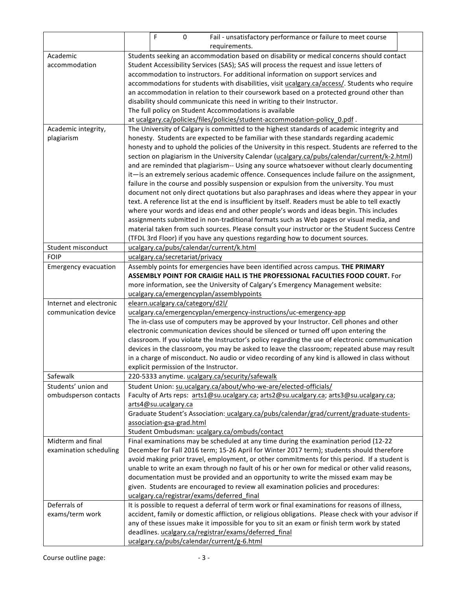|                                              |                                                                                                                                                                                                     | F<br>0                           | Fail - unsatisfactory performance or failure to meet course                                       |  |  |  |  |  |  |
|----------------------------------------------|-----------------------------------------------------------------------------------------------------------------------------------------------------------------------------------------------------|----------------------------------|---------------------------------------------------------------------------------------------------|--|--|--|--|--|--|
|                                              |                                                                                                                                                                                                     |                                  | requirements.                                                                                     |  |  |  |  |  |  |
| Academic                                     | Students seeking an accommodation based on disability or medical concerns should contact                                                                                                            |                                  |                                                                                                   |  |  |  |  |  |  |
| accommodation                                | Student Accessibility Services (SAS); SAS will process the request and issue letters of                                                                                                             |                                  |                                                                                                   |  |  |  |  |  |  |
|                                              | accommodation to instructors. For additional information on support services and                                                                                                                    |                                  |                                                                                                   |  |  |  |  |  |  |
|                                              | accommodations for students with disabilities, visit ucalgary.ca/access/. Students who require                                                                                                      |                                  |                                                                                                   |  |  |  |  |  |  |
|                                              | an accommodation in relation to their coursework based on a protected ground other than                                                                                                             |                                  |                                                                                                   |  |  |  |  |  |  |
|                                              | disability should communicate this need in writing to their Instructor.                                                                                                                             |                                  |                                                                                                   |  |  |  |  |  |  |
|                                              | The full policy on Student Accommodations is available                                                                                                                                              |                                  |                                                                                                   |  |  |  |  |  |  |
|                                              | at ucalgary.ca/policies/files/policies/student-accommodation-policy_0.pdf.                                                                                                                          |                                  |                                                                                                   |  |  |  |  |  |  |
| Academic integrity,                          | The University of Calgary is committed to the highest standards of academic integrity and                                                                                                           |                                  |                                                                                                   |  |  |  |  |  |  |
| plagiarism                                   | honesty. Students are expected to be familiar with these standards regarding academic                                                                                                               |                                  |                                                                                                   |  |  |  |  |  |  |
|                                              | honesty and to uphold the policies of the University in this respect. Students are referred to the                                                                                                  |                                  |                                                                                                   |  |  |  |  |  |  |
|                                              | section on plagiarism in the University Calendar (ucalgary.ca/pubs/calendar/current/k-2.html)                                                                                                       |                                  |                                                                                                   |  |  |  |  |  |  |
|                                              | and are reminded that plagiarism-- Using any source whatsoever without clearly documenting                                                                                                          |                                  |                                                                                                   |  |  |  |  |  |  |
|                                              | it-is an extremely serious academic offence. Consequences include failure on the assignment,                                                                                                        |                                  |                                                                                                   |  |  |  |  |  |  |
|                                              |                                                                                                                                                                                                     |                                  | failure in the course and possibly suspension or expulsion from the university. You must          |  |  |  |  |  |  |
|                                              |                                                                                                                                                                                                     |                                  | document not only direct quotations but also paraphrases and ideas where they appear in your      |  |  |  |  |  |  |
|                                              |                                                                                                                                                                                                     |                                  | text. A reference list at the end is insufficient by itself. Readers must be able to tell exactly |  |  |  |  |  |  |
|                                              |                                                                                                                                                                                                     |                                  | where your words and ideas end and other people's words and ideas begin. This includes            |  |  |  |  |  |  |
|                                              | assignments submitted in non-traditional formats such as Web pages or visual media, and                                                                                                             |                                  |                                                                                                   |  |  |  |  |  |  |
|                                              | material taken from such sources. Please consult your instructor or the Student Success Centre                                                                                                      |                                  |                                                                                                   |  |  |  |  |  |  |
|                                              |                                                                                                                                                                                                     |                                  | (TFDL 3rd Floor) if you have any questions regarding how to document sources.                     |  |  |  |  |  |  |
| Student misconduct                           |                                                                                                                                                                                                     |                                  | ucalgary.ca/pubs/calendar/current/k.html                                                          |  |  |  |  |  |  |
| <b>FOIP</b>                                  |                                                                                                                                                                                                     | ucalgary.ca/secretariat/privacy  |                                                                                                   |  |  |  |  |  |  |
| <b>Emergency evacuation</b>                  |                                                                                                                                                                                                     |                                  | Assembly points for emergencies have been identified across campus. THE PRIMARY                   |  |  |  |  |  |  |
|                                              |                                                                                                                                                                                                     |                                  | ASSEMBLY POINT FOR CRAIGIE HALL IS THE PROFESSIONAL FACULTIES FOOD COURT. For                     |  |  |  |  |  |  |
|                                              |                                                                                                                                                                                                     |                                  | more information, see the University of Calgary's Emergency Management website:                   |  |  |  |  |  |  |
|                                              |                                                                                                                                                                                                     |                                  | ucalgary.ca/emergencyplan/assemblypoints                                                          |  |  |  |  |  |  |
| Internet and electronic                      |                                                                                                                                                                                                     | elearn.ucalgary.ca/category/d2l/ |                                                                                                   |  |  |  |  |  |  |
| communication device                         |                                                                                                                                                                                                     |                                  | ucalgary.ca/emergencyplan/emergency-instructions/uc-emergency-app                                 |  |  |  |  |  |  |
|                                              |                                                                                                                                                                                                     |                                  | The in-class use of computers may be approved by your Instructor. Cell phones and other           |  |  |  |  |  |  |
|                                              |                                                                                                                                                                                                     |                                  | electronic communication devices should be silenced or turned off upon entering the               |  |  |  |  |  |  |
|                                              |                                                                                                                                                                                                     |                                  | classroom. If you violate the Instructor's policy regarding the use of electronic communication   |  |  |  |  |  |  |
|                                              | devices in the classroom, you may be asked to leave the classroom; repeated abuse may result                                                                                                        |                                  |                                                                                                   |  |  |  |  |  |  |
|                                              | in a charge of misconduct. No audio or video recording of any kind is allowed in class without<br>explicit permission of the Instructor.                                                            |                                  |                                                                                                   |  |  |  |  |  |  |
| Safewalk                                     |                                                                                                                                                                                                     |                                  |                                                                                                   |  |  |  |  |  |  |
|                                              |                                                                                                                                                                                                     |                                  | 220-5333 anytime. ucalgary.ca/security/safewalk                                                   |  |  |  |  |  |  |
| Students' union and<br>ombudsperson contacts |                                                                                                                                                                                                     |                                  | Student Union: su.ucalgary.ca/about/who-we-are/elected-officials/                                 |  |  |  |  |  |  |
|                                              |                                                                                                                                                                                                     | arts4@su.ucalgary.ca             | Faculty of Arts reps: arts1@su.ucalgary.ca; arts2@su.ucalgary.ca; arts3@su.ucalgary.ca;           |  |  |  |  |  |  |
|                                              |                                                                                                                                                                                                     |                                  | Graduate Student's Association: ucalgary.ca/pubs/calendar/grad/current/graduate-students-         |  |  |  |  |  |  |
|                                              |                                                                                                                                                                                                     | association-gsa-grad.html        |                                                                                                   |  |  |  |  |  |  |
|                                              |                                                                                                                                                                                                     |                                  | Student Ombudsman: ucalgary.ca/ombuds/contact                                                     |  |  |  |  |  |  |
| Midterm and final                            |                                                                                                                                                                                                     |                                  | Final examinations may be scheduled at any time during the examination period (12-22              |  |  |  |  |  |  |
| examination scheduling                       |                                                                                                                                                                                                     |                                  | December for Fall 2016 term; 15-26 April for Winter 2017 term); students should therefore         |  |  |  |  |  |  |
|                                              |                                                                                                                                                                                                     |                                  | avoid making prior travel, employment, or other commitments for this period. If a student is      |  |  |  |  |  |  |
|                                              |                                                                                                                                                                                                     |                                  | unable to write an exam through no fault of his or her own for medical or other valid reasons,    |  |  |  |  |  |  |
|                                              |                                                                                                                                                                                                     |                                  | documentation must be provided and an opportunity to write the missed exam may be                 |  |  |  |  |  |  |
|                                              |                                                                                                                                                                                                     |                                  |                                                                                                   |  |  |  |  |  |  |
|                                              | given. Students are encouraged to review all examination policies and procedures:<br>ucalgary.ca/registrar/exams/deferred final                                                                     |                                  |                                                                                                   |  |  |  |  |  |  |
| Deferrals of                                 |                                                                                                                                                                                                     |                                  | It is possible to request a deferral of term work or final examinations for reasons of illness,   |  |  |  |  |  |  |
| exams/term work                              |                                                                                                                                                                                                     |                                  |                                                                                                   |  |  |  |  |  |  |
|                                              | accident, family or domestic affliction, or religious obligations. Please check with your advisor if<br>any of these issues make it impossible for you to sit an exam or finish term work by stated |                                  |                                                                                                   |  |  |  |  |  |  |
|                                              |                                                                                                                                                                                                     |                                  | deadlines. ucalgary.ca/registrar/exams/deferred final                                             |  |  |  |  |  |  |
|                                              |                                                                                                                                                                                                     |                                  | ucalgary.ca/pubs/calendar/current/g-6.html                                                        |  |  |  |  |  |  |
|                                              |                                                                                                                                                                                                     |                                  |                                                                                                   |  |  |  |  |  |  |